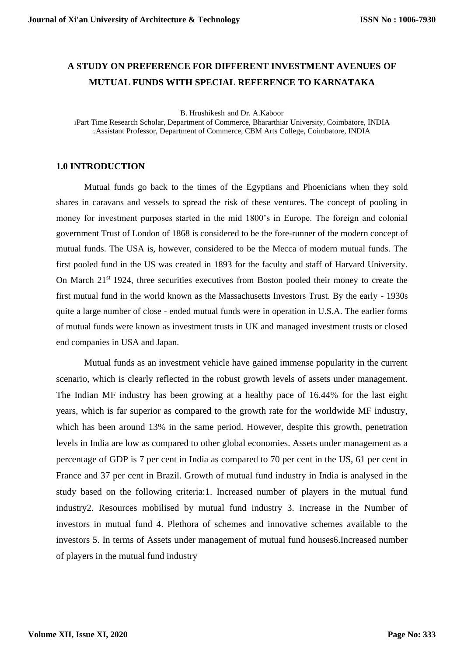# **A STUDY ON PREFERENCE FOR DIFFERENT INVESTMENT AVENUES OF MUTUAL FUNDS WITH SPECIAL REFERENCE TO KARNATAKA**

B. Hrushikesh and Dr. A.Kaboor

<sup>1</sup>Part Time Research Scholar, Department of Commerce, Bhararthiar University, Coimbatore, INDIA <sup>2</sup>Assistant Professor, Department of Commerce, CBM Arts College, Coimbatore, INDIA

#### **1.0 INTRODUCTION**

Mutual funds go back to the times of the Egyptians and Phoenicians when they sold shares in caravans and vessels to spread the risk of these ventures. The concept of pooling in money for investment purposes started in the mid 1800's in Europe. The foreign and colonial government Trust of London of 1868 is considered to be the fore-runner of the modern concept of mutual funds. The USA is, however, considered to be the Mecca of modern mutual funds. The first pooled fund in the US was created in 1893 for the faculty and staff of Harvard University. On March  $21<sup>st</sup>$  1924, three securities executives from Boston pooled their money to create the first mutual fund in the world known as the Massachusetts Investors Trust. By the early - 1930s quite a large number of close - ended mutual funds were in operation in U.S.A. The earlier forms of mutual funds were known as investment trusts in UK and managed investment trusts or closed end companies in USA and Japan.

Mutual funds as an investment vehicle have gained immense popularity in the current scenario, which is clearly reflected in the robust growth levels of assets under management. The Indian MF industry has been growing at a healthy pace of 16.44% for the last eight years, which is far superior as compared to the growth rate for the worldwide MF industry, which has been around 13% in the same period. However, despite this growth, penetration levels in India are low as compared to other global economies. Assets under management as a percentage of GDP is 7 per cent in India as compared to 70 per cent in the US, 61 per cent in France and 37 per cent in Brazil. Growth of mutual fund industry in India is analysed in the study based on the following criteria:1. Increased number of players in the mutual fund industry2. Resources mobilised by mutual fund industry 3. Increase in the Number of investors in mutual fund 4. Plethora of schemes and innovative schemes available to the investors 5. In terms of Assets under management of mutual fund houses6.Increased number of players in the mutual fund industry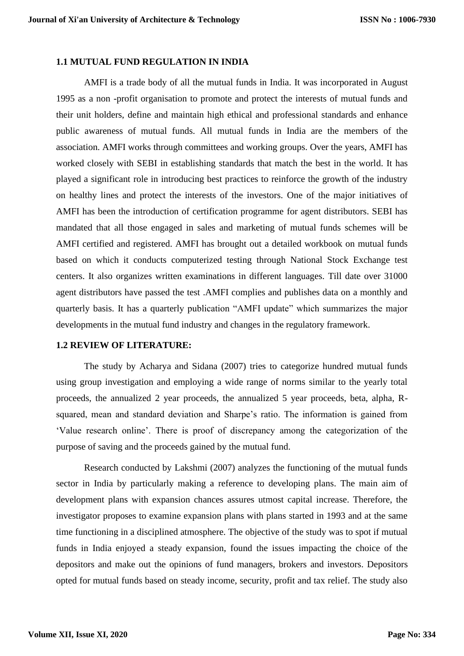## **1.1 MUTUAL FUND REGULATION IN INDIA**

AMFI is a trade body of all the mutual funds in India. It was incorporated in August 1995 as a non -profit organisation to promote and protect the interests of mutual funds and their unit holders, define and maintain high ethical and professional standards and enhance public awareness of mutual funds. All mutual funds in India are the members of the association. AMFI works through committees and working groups. Over the years, AMFI has worked closely with SEBI in establishing standards that match the best in the world. It has played a significant role in introducing best practices to reinforce the growth of the industry on healthy lines and protect the interests of the investors. One of the major initiatives of AMFI has been the introduction of certification programme for agent distributors. SEBI has mandated that all those engaged in sales and marketing of mutual funds schemes will be AMFI certified and registered. AMFI has brought out a detailed workbook on mutual funds based on which it conducts computerized testing through National Stock Exchange test centers. It also organizes written examinations in different languages. Till date over 31000 agent distributors have passed the test .AMFI complies and publishes data on a monthly and quarterly basis. It has a quarterly publication "AMFI update" which summarizes the major developments in the mutual fund industry and changes in the regulatory framework.

## **1.2 REVIEW OF LITERATURE:**

The study by Acharya and Sidana (2007) tries to categorize hundred mutual funds using group investigation and employing a wide range of norms similar to the yearly total proceeds, the annualized 2 year proceeds, the annualized 5 year proceeds, beta, alpha, Rsquared, mean and standard deviation and Sharpe's ratio. The information is gained from 'Value research online'. There is proof of discrepancy among the categorization of the purpose of saving and the proceeds gained by the mutual fund.

Research conducted by Lakshmi (2007) analyzes the functioning of the mutual funds sector in India by particularly making a reference to developing plans. The main aim of development plans with expansion chances assures utmost capital increase. Therefore, the investigator proposes to examine expansion plans with plans started in 1993 and at the same time functioning in a disciplined atmosphere. The objective of the study was to spot if mutual funds in India enjoyed a steady expansion, found the issues impacting the choice of the depositors and make out the opinions of fund managers, brokers and investors. Depositors opted for mutual funds based on steady income, security, profit and tax relief. The study also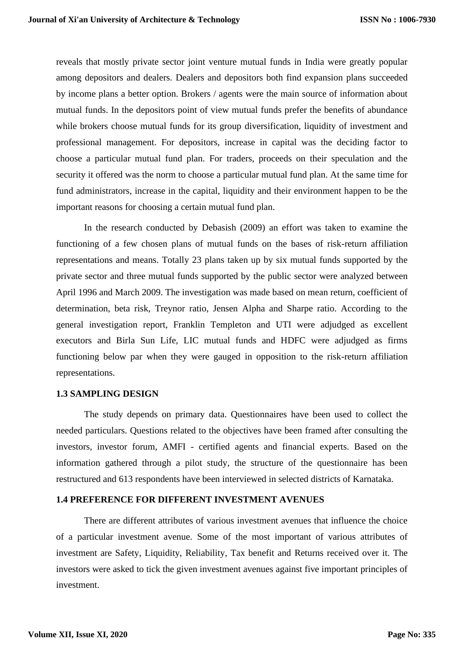reveals that mostly private sector joint venture mutual funds in India were greatly popular among depositors and dealers. Dealers and depositors both find expansion plans succeeded by income plans a better option. Brokers / agents were the main source of information about mutual funds. In the depositors point of view mutual funds prefer the benefits of abundance while brokers choose mutual funds for its group diversification, liquidity of investment and professional management. For depositors, increase in capital was the deciding factor to choose a particular mutual fund plan. For traders, proceeds on their speculation and the security it offered was the norm to choose a particular mutual fund plan. At the same time for fund administrators, increase in the capital, liquidity and their environment happen to be the important reasons for choosing a certain mutual fund plan.

In the research conducted by Debasish (2009) an effort was taken to examine the functioning of a few chosen plans of mutual funds on the bases of risk-return affiliation representations and means. Totally 23 plans taken up by six mutual funds supported by the private sector and three mutual funds supported by the public sector were analyzed between April 1996 and March 2009. The investigation was made based on mean return, coefficient of determination, beta risk, Treynor ratio, Jensen Alpha and Sharpe ratio. According to the general investigation report, Franklin Templeton and UTI were adjudged as excellent executors and Birla Sun Life, LIC mutual funds and HDFC were adjudged as firms functioning below par when they were gauged in opposition to the risk-return affiliation representations.

#### **1.3 SAMPLING DESIGN**

The study depends on primary data. Questionnaires have been used to collect the needed particulars. Questions related to the objectives have been framed after consulting the investors, investor forum, AMFI - certified agents and financial experts. Based on the information gathered through a pilot study, the structure of the questionnaire has been restructured and 613 respondents have been interviewed in selected districts of Karnataka.

## **1.4 PREFERENCE FOR DIFFERENT INVESTMENT AVENUES**

There are different attributes of various investment avenues that influence the choice of a particular investment avenue. Some of the most important of various attributes of investment are Safety, Liquidity, Reliability, Tax benefit and Returns received over it. The investors were asked to tick the given investment avenues against five important principles of investment.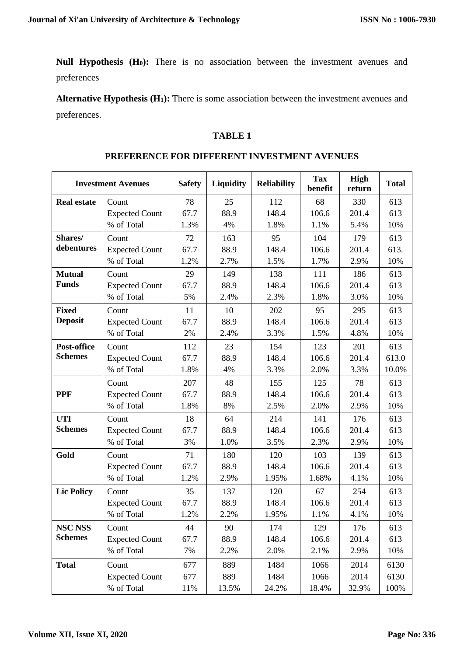**Null Hypothesis (H0):** There is no association between the investment avenues and preferences

**Alternative Hypothesis (H1):** There is some association between the investment avenues and preferences.

# **TABLE 1**

|                    | <b>Investment Avenues</b> | <b>Safety</b> | Liquidity | <b>Reliability</b> | <b>Tax</b><br>benefit | <b>High</b><br>return | <b>Total</b> |
|--------------------|---------------------------|---------------|-----------|--------------------|-----------------------|-----------------------|--------------|
| <b>Real estate</b> | Count                     | 78            | 25        | 112                | 68                    | 330                   | 613          |
|                    | <b>Expected Count</b>     | 67.7          | 88.9      | 148.4              | 106.6                 | 201.4                 | 613          |
|                    | % of Total                | 1.3%          | 4%        | 1.8%               | 1.1%                  | 5.4%                  | 10%          |
| Shares/            | Count                     | 72            | 163       | 95                 | 104                   | 179                   | 613          |
| debentures         | <b>Expected Count</b>     | 67.7          | 88.9      | 148.4              | 106.6                 | 201.4                 | 613.         |
|                    | % of Total                | 1.2%          | 2.7%      | 1.5%               | 1.7%                  | 2.9%                  | 10%          |
| <b>Mutual</b>      | Count                     | 29            | 149       | 138                | 111                   | 186                   | 613          |
| <b>Funds</b>       | <b>Expected Count</b>     | 67.7          | 88.9      | 148.4              | 106.6                 | 201.4                 | 613          |
|                    | % of Total                | 5%            | 2.4%      | 2.3%               | 1.8%                  | 3.0%                  | 10%          |
| <b>Fixed</b>       | Count                     | 11            | 10        | 202                | 95                    | 295                   | 613          |
| <b>Deposit</b>     | <b>Expected Count</b>     | 67.7          | 88.9      | 148.4              | 106.6                 | 201.4                 | 613          |
|                    | % of Total                | 2%            | 2.4%      | 3.3%               | 1.5%                  | 4.8%                  | 10%          |
| Post-office        | Count                     | 112           | 23        | 154                | 123                   | 201                   | 613          |
| <b>Schemes</b>     | <b>Expected Count</b>     | 67.7          | 88.9      | 148.4              | 106.6                 | 201.4                 | 613.0        |
|                    | % of Total                | 1.8%          | 4%        | 3.3%               | 2.0%                  | 3.3%                  | 10.0%        |
|                    | Count                     | 207           | 48        | 155                | 125                   | 78                    | 613          |
| <b>PPF</b>         | <b>Expected Count</b>     | 67.7          | 88.9      | 148.4              | 106.6                 | 201.4                 | 613          |
|                    | % of Total                | 1.8%          | 8%        | 2.5%               | 2.0%                  | 2.9%                  | 10%          |
| <b>UTI</b>         | Count                     | 18            | 64        | 214                | 141                   | 176                   | 613          |
| <b>Schemes</b>     | <b>Expected Count</b>     | 67.7          | 88.9      | 148.4              | 106.6                 | 201.4                 | 613          |
|                    | % of Total                | 3%            | 1.0%      | 3.5%               | 2.3%                  | 2.9%                  | 10%          |
| Gold               | Count                     | 71            | 180       | 120                | 103                   | 139                   | 613          |
|                    | <b>Expected Count</b>     | 67.7          | 88.9      | 148.4              | 106.6                 | 201.4                 | 613          |
|                    | % of Total                | 1.2%          | 2.9%      | 1.95%              | 1.68%                 | 4.1%                  | 10%          |
| <b>Lic Policy</b>  | Count                     | 35            | 137       | 120                | 67                    | 254                   | 613          |
|                    | <b>Expected Count</b>     | 67.7          | 88.9      | 148.4              | 106.6                 | 201.4                 | 613          |
|                    | % of Total                | 1.2%          | 2.2%      | 1.95%              | 1.1%                  | 4.1%                  | 10%          |
| <b>NSC NSS</b>     | Count                     | 44            | 90        | 174                | 129                   | 176                   | 613          |
| <b>Schemes</b>     | <b>Expected Count</b>     | 67.7          | 88.9      | 148.4              | 106.6                 | 201.4                 | 613          |
|                    | % of Total                | 7%            | 2.2%      | 2.0%               | 2.1%                  | 2.9%                  | 10%          |
| <b>Total</b>       | Count                     | 677           | 889       | 1484               | 1066                  | 2014                  | 6130         |
|                    | <b>Expected Count</b>     | 677           | 889       | 1484               | 1066                  | 2014                  | 6130         |
|                    | % of Total                | 11%           | 13.5%     | 24.2%              | 18.4%                 | 32.9%                 | 100%         |

#### **PREFERENCE FOR DIFFERENT INVESTMENT AVENUES**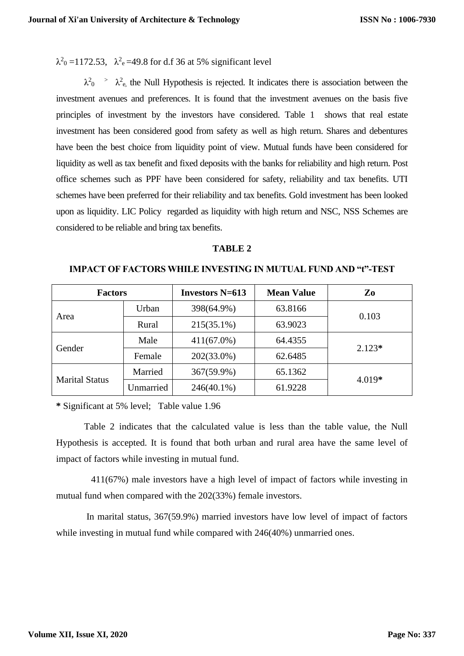$\lambda^2$ <sub>0</sub> = 1172.53,  $\lambda^2$ <sub>e</sub> = 49.8 for d.f 36 at 5% significant level

 $\lambda^2$ <sup>2</sup>  $\lambda^2$ <sub>e,</sub> the Null Hypothesis is rejected. It indicates there is association between the investment avenues and preferences. It is found that the investment avenues on the basis five principles of investment by the investors have considered. Table 1 shows that real estate investment has been considered good from safety as well as high return. Shares and debentures have been the best choice from liquidity point of view. Mutual funds have been considered for liquidity as well as tax benefit and fixed deposits with the banks for reliability and high return. Post office schemes such as PPF have been considered for safety, reliability and tax benefits. UTI schemes have been preferred for their reliability and tax benefits. Gold investment has been looked upon as liquidity. LIC Policy regarded as liquidity with high return and NSC, NSS Schemes are considered to be reliable and bring tax benefits.

# **TABLE 2**

| <b>Factors</b>        |           | <b>Investors N=613</b> | <b>Mean Value</b> | Zo       |  |
|-----------------------|-----------|------------------------|-------------------|----------|--|
| Area                  | Urban     | 398(64.9%)             | 63.8166           | 0.103    |  |
|                       | Rural     | $215(35.1\%)$          | 63.9023           |          |  |
| Gender                | Male      | $411(67.0\%)$          | 64.4355           | $2.123*$ |  |
|                       | Female    | $202(33.0\%)$          | 62.6485           |          |  |
| <b>Marital Status</b> | Married   | 367(59.9%)             | 65.1362           | $4.019*$ |  |
|                       | Unmarried | $246(40.1\%)$          | 61.9228           |          |  |

**IMPACT OF FACTORS WHILE INVESTING IN MUTUAL FUND AND "t"-TEST**

**\*** Significant at 5% level; Table value 1.96

Table 2 indicates that the calculated value is less than the table value, the Null Hypothesis is accepted. It is found that both urban and rural area have the same level of impact of factors while investing in mutual fund.

 411(67%) male investors have a high level of impact of factors while investing in mutual fund when compared with the 202(33%) female investors.

 In marital status, 367(59.9%) married investors have low level of impact of factors while investing in mutual fund while compared with  $246(40%)$  unmarried ones.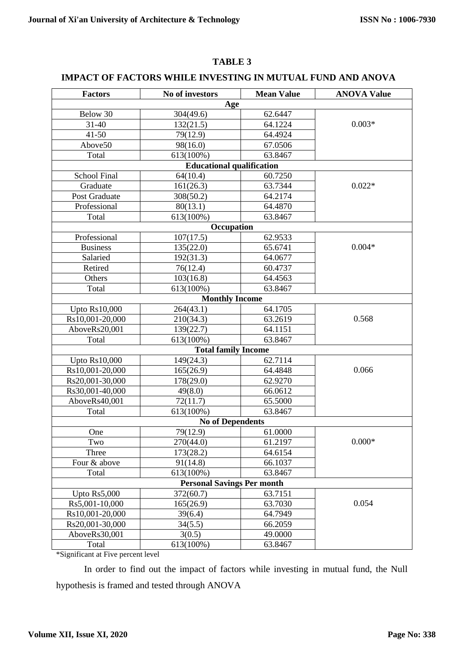# **IMPACT OF FACTORS WHILE INVESTING IN MUTUAL FUND AND ANOVA**

| <b>Factors</b>                    | No of investors                  | <b>Mean Value</b> | <b>ANOVA Value</b> |  |  |
|-----------------------------------|----------------------------------|-------------------|--------------------|--|--|
|                                   | Age                              |                   |                    |  |  |
| Below 30                          | 304(49.6)                        | 62.6447           |                    |  |  |
| 31-40                             | 132(21.5)                        | 64.1224           | $0.003*$           |  |  |
| $41 - 50$                         | 79(12.9)                         | 64.4924           |                    |  |  |
| Above50                           | 98(16.0)                         | 67.0506           |                    |  |  |
| Total                             | 613(100%)                        | 63.8467           |                    |  |  |
|                                   | <b>Educational qualification</b> |                   |                    |  |  |
| <b>School Final</b>               | 64(10.4)                         | 60.7250           |                    |  |  |
| Graduate                          | 161(26.3)                        | 63.7344           | $0.022*$           |  |  |
| <b>Post Graduate</b>              | 308(50.2)                        | 64.2174           |                    |  |  |
| Professional                      | 80(13.1)                         | 64.4870           |                    |  |  |
| Total                             | 613(100%)                        | 63.8467           |                    |  |  |
|                                   | Occupation                       |                   |                    |  |  |
| Professional                      | 107(17.5)                        | 62.9533           |                    |  |  |
| <b>Business</b>                   | 135(22.0)                        | 65.6741           | $0.004*$           |  |  |
| Salaried                          | 192(31.3)                        | 64.0677           |                    |  |  |
| Retired                           | 76(12.4)                         | 60.4737           |                    |  |  |
| Others                            | 103(16.8)                        | 64.4563           |                    |  |  |
| Total                             | 613(100%)                        | 63.8467           |                    |  |  |
|                                   | <b>Monthly Income</b>            |                   |                    |  |  |
| <b>Upto Rs10,000</b>              | 264(43.1)                        | 64.1705           |                    |  |  |
| Rs10,001-20,000                   | 210(34.3)                        | 63.2619           | 0.568              |  |  |
| AboveRs20,001                     | 139(22.7)                        | 64.1151           |                    |  |  |
| Total                             | 613(100%)                        | 63.8467           |                    |  |  |
|                                   | <b>Total family Income</b>       |                   |                    |  |  |
| Upto $Rs10,000$                   | 149(24.3)                        | 62.7114           |                    |  |  |
| Rs10,001-20,000                   | 165(26.9)                        | 64.4848           | 0.066              |  |  |
| Rs20,001-30,000                   | 178(29.0)                        | 62.9270           |                    |  |  |
| Rs30,001-40,000                   | 49(8.0)                          | 66.0612           |                    |  |  |
| AboveRs40,001                     | 72(11.7)                         | 65.5000           |                    |  |  |
| Total                             | 613(100%)                        | 63.8467           |                    |  |  |
| <b>No of Dependents</b>           |                                  |                   |                    |  |  |
| One                               | 79(12.9)                         | 61.0000           |                    |  |  |
| Two                               | 270(44.0)                        | 61.2197           | $0.000*$           |  |  |
| Three                             | 173(28.2)                        | 64.6154           |                    |  |  |
| Four & above                      | 91(14.8)                         | 66.1037           |                    |  |  |
| Total                             | 613(100%)                        | 63.8467           |                    |  |  |
| <b>Personal Savings Per month</b> |                                  |                   |                    |  |  |
| Upto $Rs5,000$                    | 372(60.7)                        | 63.7151           |                    |  |  |
| Rs5,001-10,000                    | 165(26.9)                        | 63.7030           | 0.054              |  |  |
| Rs10,001-20,000                   | 39(6.4)                          | 64.7949           |                    |  |  |
| Rs20,001-30,000                   | 34(5.5)                          | 66.2059           |                    |  |  |
| AboveRs30,001                     | 3(0.5)                           | 49.0000           |                    |  |  |
| Total                             | 613(100%)                        | 63.8467           |                    |  |  |

\*Significant at Five percent level

In order to find out the impact of factors while investing in mutual fund, the Null hypothesis is framed and tested through ANOVA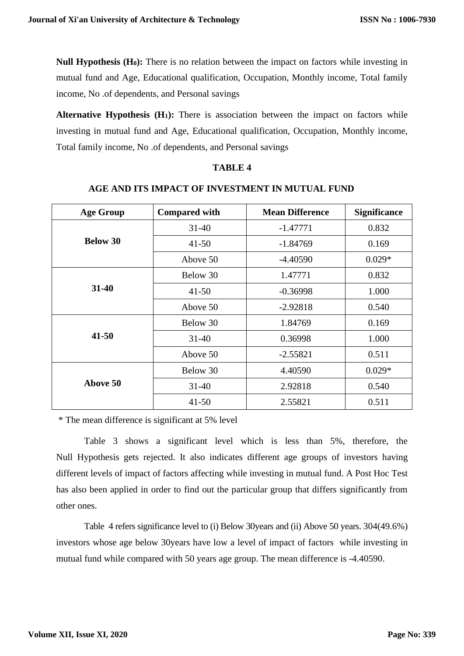**Null Hypothesis (H0):** There is no relation between the impact on factors while investing in mutual fund and Age, Educational qualification, Occupation, Monthly income, Total family income, No .of dependents, and Personal savings

**Alternative Hypothesis (H1):** There is association between the impact on factors while investing in mutual fund and Age, Educational qualification, Occupation, Monthly income, Total family income, No .of dependents, and Personal savings

## **TABLE 4**

# **AGE AND ITS IMPACT OF INVESTMENT IN MUTUAL FUND**

| <b>Age Group</b> | <b>Compared with</b> | <b>Mean Difference</b> | <b>Significance</b> |
|------------------|----------------------|------------------------|---------------------|
|                  | $31-40$              | $-1.47771$             | 0.832               |
| <b>Below 30</b>  | $41 - 50$            | $-1.84769$             | 0.169               |
|                  | Above 50             | $-4.40590$             | $0.029*$            |
|                  | Below 30             | 1.47771                | 0.832               |
| 31-40            | $41 - 50$            | $-0.36998$             | 1.000               |
|                  | Above 50             | $-2.92818$             | 0.540               |
|                  | Below 30             | 1.84769                | 0.169               |
| $41 - 50$        | $31 - 40$            | 0.36998                | 1.000               |
|                  | Above 50             | $-2.55821$             | 0.511               |
|                  | Below 30             | 4.40590                | $0.029*$            |
| Above 50         | $31 - 40$            | 2.92818                | 0.540               |
|                  | $41 - 50$            | 2.55821                | 0.511               |

\* The mean difference is significant at 5% level

Table 3 shows a significant level which is less than 5%, therefore, the Null Hypothesis gets rejected. It also indicates different age groups of investors having different levels of impact of factors affecting while investing in mutual fund. A Post Hoc Test has also been applied in order to find out the particular group that differs significantly from other ones.

Table 4 refers significance level to (i) Below 30years and (ii) Above 50 years. 304(49.6%) investors whose age below 30years have low a level of impact of factors while investing in mutual fund while compared with 50 years age group. The mean difference is -4.40590.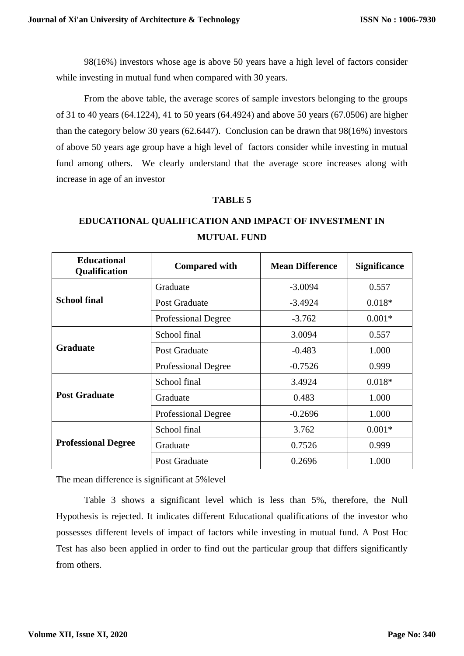98(16%) investors whose age is above 50 years have a high level of factors consider while investing in mutual fund when compared with 30 years.

From the above table, the average scores of sample investors belonging to the groups of 31 to 40 years (64.1224), 41 to 50 years (64.4924) and above 50 years (67.0506) are higher than the category below 30 years (62.6447). Conclusion can be drawn that 98(16%) investors of above 50 years age group have a high level of factors consider while investing in mutual fund among others. We clearly understand that the average score increases along with increase in age of an investor

# **TABLE 5**

# **EDUCATIONAL QUALIFICATION AND IMPACT OF INVESTMENT IN MUTUAL FUND**

| <b>Educational</b><br>Qualification | <b>Compared with</b>       | <b>Mean Difference</b> | <b>Significance</b> |
|-------------------------------------|----------------------------|------------------------|---------------------|
|                                     | Graduate                   | $-3.0094$              | 0.557               |
| <b>School final</b>                 | Post Graduate              | $-3.4924$              | $0.018*$            |
|                                     | <b>Professional Degree</b> | $-3.762$               | $0.001*$            |
|                                     | School final               | 3.0094                 | 0.557               |
| <b>Graduate</b>                     | Post Graduate              | $-0.483$               | 1.000               |
|                                     | <b>Professional Degree</b> | $-0.7526$              | 0.999               |
|                                     | School final               | 3.4924                 | $0.018*$            |
| <b>Post Graduate</b>                | Graduate                   | 0.483                  | 1.000               |
|                                     | <b>Professional Degree</b> | $-0.2696$              | 1.000               |
|                                     | School final               | 3.762                  | $0.001*$            |
| <b>Professional Degree</b>          | Graduate                   | 0.7526                 | 0.999               |
|                                     | <b>Post Graduate</b>       | 0.2696                 | 1.000               |

The mean difference is significant at 5%level

Table 3 shows a significant level which is less than 5%, therefore, the Null Hypothesis is rejected. It indicates different Educational qualifications of the investor who possesses different levels of impact of factors while investing in mutual fund. A Post Hoc Test has also been applied in order to find out the particular group that differs significantly from others.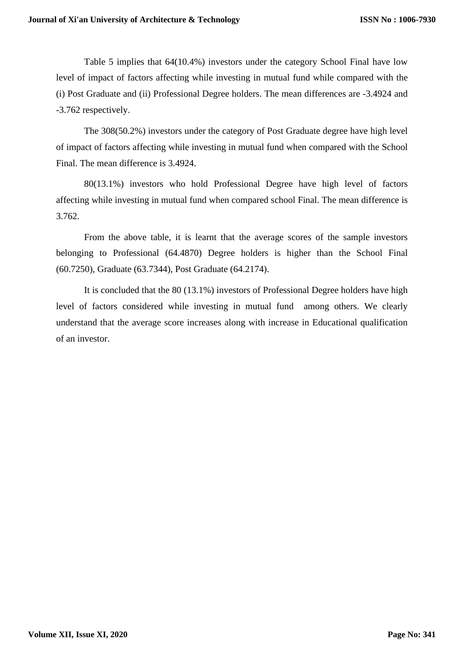Table 5 implies that 64(10.4%) investors under the category School Final have low level of impact of factors affecting while investing in mutual fund while compared with the (i) Post Graduate and (ii) Professional Degree holders. The mean differences are -3.4924 and -3.762 respectively.

The 308(50.2%) investors under the category of Post Graduate degree have high level of impact of factors affecting while investing in mutual fund when compared with the School Final. The mean difference is 3.4924.

80(13.1%) investors who hold Professional Degree have high level of factors affecting while investing in mutual fund when compared school Final. The mean difference is 3.762.

From the above table, it is learnt that the average scores of the sample investors belonging to Professional (64.4870) Degree holders is higher than the School Final (60.7250), Graduate (63.7344), Post Graduate (64.2174).

It is concluded that the 80 (13.1%) investors of Professional Degree holders have high level of factors considered while investing in mutual fund among others. We clearly understand that the average score increases along with increase in Educational qualification of an investor.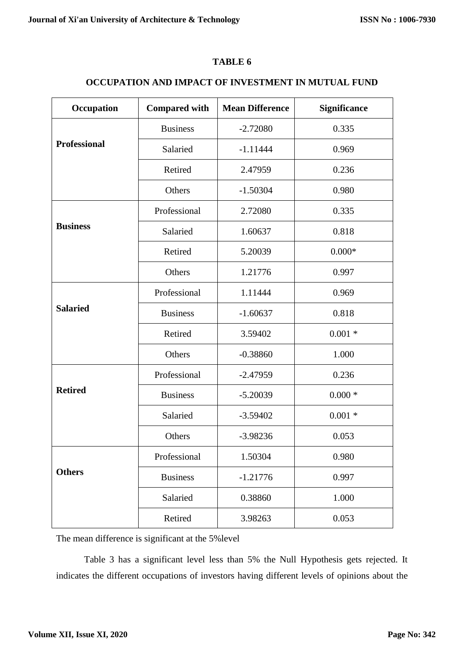# **TABLE 6**

# **OCCUPATION AND IMPACT OF INVESTMENT IN MUTUAL FUND**

| Occupation          | <b>Compared with</b> | <b>Mean Difference</b> | Significance |
|---------------------|----------------------|------------------------|--------------|
|                     | <b>Business</b>      | $-2.72080$             | 0.335        |
| <b>Professional</b> | Salaried             | $-1.11444$             | 0.969        |
|                     | Retired              | 2.47959                | 0.236        |
|                     | Others               | $-1.50304$             | 0.980        |
|                     | Professional         | 2.72080                | 0.335        |
| <b>Business</b>     | Salaried             | 1.60637                | 0.818        |
|                     | Retired              | 5.20039                | $0.000*$     |
|                     | Others               | 1.21776                | 0.997        |
|                     | Professional         | 1.11444                | 0.969        |
| <b>Salaried</b>     | <b>Business</b>      | $-1.60637$             | 0.818        |
|                     | Retired              | 3.59402                | $0.001 *$    |
|                     | Others               | $-0.38860$             | 1.000        |
|                     | Professional         | $-2.47959$             | 0.236        |
| <b>Retired</b>      | <b>Business</b>      | $-5.20039$             | $0.000*$     |
|                     | Salaried             | $-3.59402$             | $0.001 *$    |
|                     | Others               | $-3.98236$             | 0.053        |
|                     | Professional         | 1.50304                | 0.980        |
| <b>Others</b>       | <b>Business</b>      | $-1.21776$             | 0.997        |
|                     | Salaried             | 0.38860                | 1.000        |
|                     | Retired              | 3.98263                | 0.053        |

The mean difference is significant at the 5%level

Table 3 has a significant level less than 5% the Null Hypothesis gets rejected. It indicates the different occupations of investors having different levels of opinions about the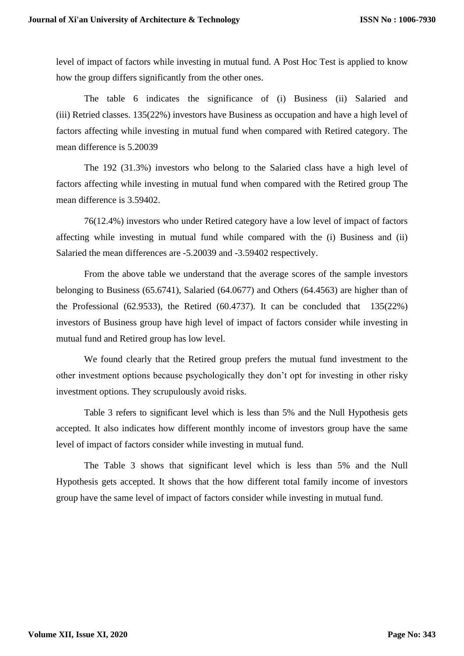level of impact of factors while investing in mutual fund. A Post Hoc Test is applied to know how the group differs significantly from the other ones.

The table 6 indicates the significance of (i) Business (ii) Salaried and (iii) Retried classes. 135(22%) investors have Business as occupation and have a high level of factors affecting while investing in mutual fund when compared with Retired category. The mean difference is 5.20039

The 192 (31.3%) investors who belong to the Salaried class have a high level of factors affecting while investing in mutual fund when compared with the Retired group The mean difference is 3.59402.

76(12.4%) investors who under Retired category have a low level of impact of factors affecting while investing in mutual fund while compared with the (i) Business and (ii) Salaried the mean differences are -5.20039 and -3.59402 respectively.

From the above table we understand that the average scores of the sample investors belonging to Business (65.6741), Salaried (64.0677) and Others (64.4563) are higher than of the Professional (62.9533), the Retired (60.4737). It can be concluded that  $135(22%)$ investors of Business group have high level of impact of factors consider while investing in mutual fund and Retired group has low level.

We found clearly that the Retired group prefers the mutual fund investment to the other investment options because psychologically they don't opt for investing in other risky investment options. They scrupulously avoid risks.

Table 3 refers to significant level which is less than 5% and the Null Hypothesis gets accepted. It also indicates how different monthly income of investors group have the same level of impact of factors consider while investing in mutual fund.

The Table 3 shows that significant level which is less than 5% and the Null Hypothesis gets accepted. It shows that the how different total family income of investors group have the same level of impact of factors consider while investing in mutual fund.